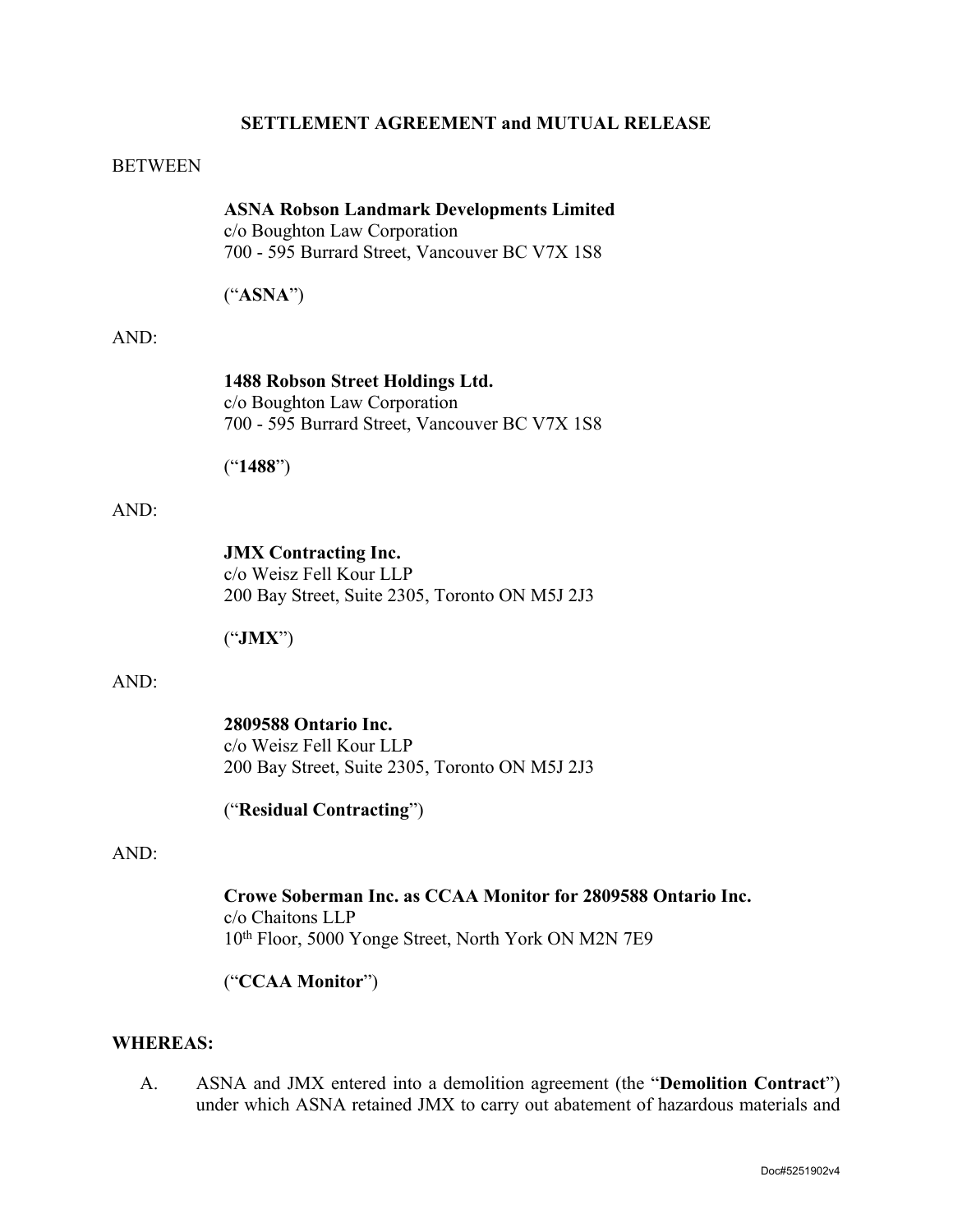#### **SETTLEMENT AGREEMENT and MUTUAL RELEASE**

#### BETWEEN

**ASNA Robson Landmark Developments Limited** 

c/o Boughton Law Corporation 700 - 595 Burrard Street, Vancouver BC V7X 1S8

("**ASNA**")

#### AND:

**1488 Robson Street Holdings Ltd.**  c/o Boughton Law Corporation

700 - 595 Burrard Street, Vancouver BC V7X 1S8

("**1488**")

#### AND:

**JMX Contracting Inc.** c/o Weisz Fell Kour LLP 200 Bay Street, Suite 2305, Toronto ON M5J 2J3

("**JMX**")

#### AND:

**2809588 Ontario Inc.**  c/o Weisz Fell Kour LLP 200 Bay Street, Suite 2305, Toronto ON M5J 2J3

("**Residual Contracting**")

#### AND:

**Crowe Soberman Inc. as CCAA Monitor for 2809588 Ontario Inc.**  c/o Chaitons LLP 10th Floor, 5000 Yonge Street, North York ON M2N 7E9

("**CCAA Monitor**")

## **WHEREAS:**

A. ASNA and JMX entered into a demolition agreement (the "**Demolition Contract**") under which ASNA retained JMX to carry out abatement of hazardous materials and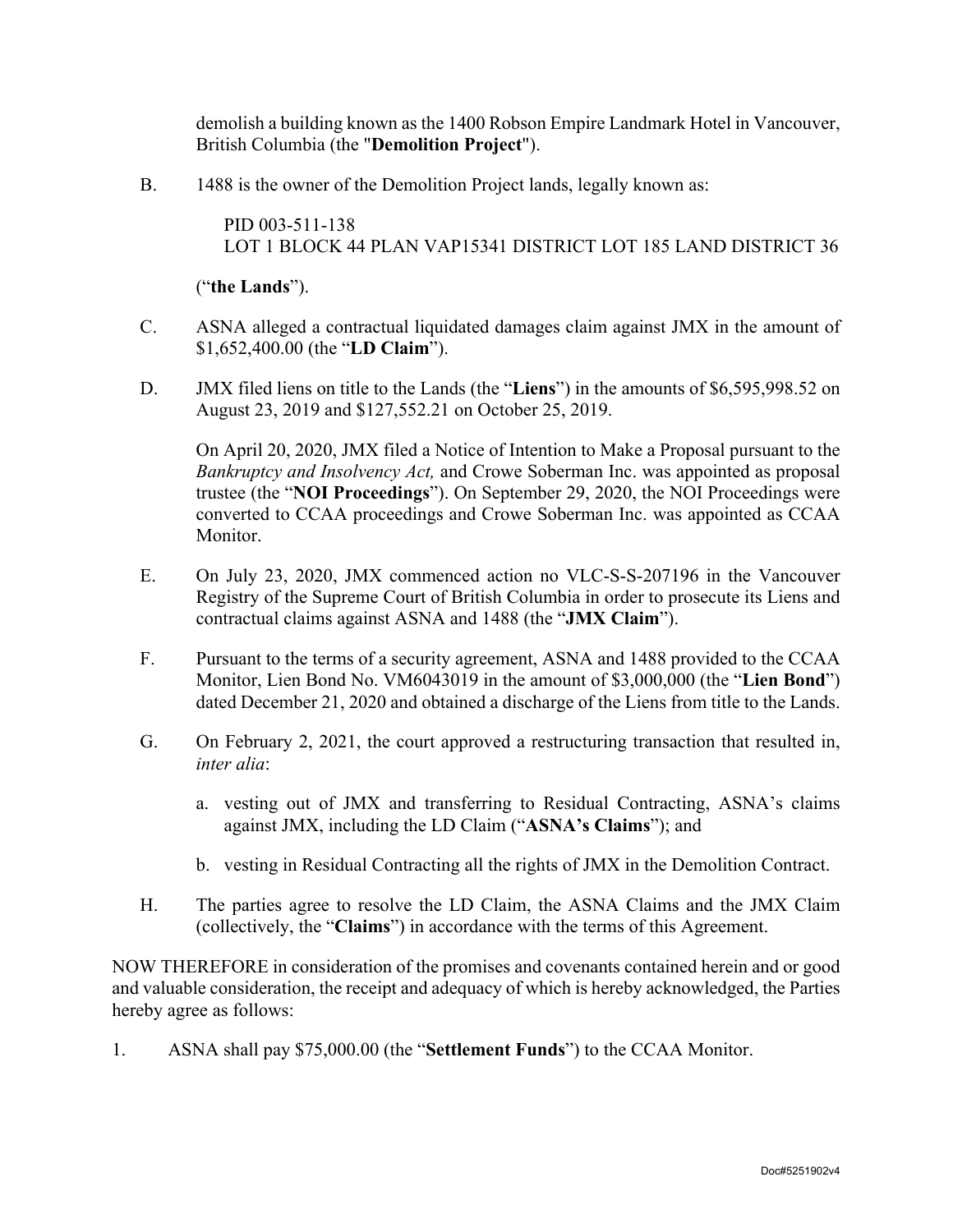demolish a building known as the 1400 Robson Empire Landmark Hotel in Vancouver, British Columbia (the "**Demolition Project**").

B. 1488 is the owner of the Demolition Project lands, legally known as:

PID 003-511-138 LOT 1 BLOCK 44 PLAN VAP15341 DISTRICT LOT 185 LAND DISTRICT 36

("**the Lands**").

- C. ASNA alleged a contractual liquidated damages claim against JMX in the amount of \$1,652,400.00 (the "**LD Claim**").
- D. JMX filed liens on title to the Lands (the "**Liens**") in the amounts of \$6,595,998.52 on August 23, 2019 and \$127,552.21 on October 25, 2019.

On April 20, 2020, JMX filed a Notice of Intention to Make a Proposal pursuant to the *Bankruptcy and Insolvency Act,* and Crowe Soberman Inc. was appointed as proposal trustee (the "**NOI Proceedings**"). On September 29, 2020, the NOI Proceedings were converted to CCAA proceedings and Crowe Soberman Inc. was appointed as CCAA Monitor.

- E. On July 23, 2020, JMX commenced action no VLC-S-S-207196 in the Vancouver Registry of the Supreme Court of British Columbia in order to prosecute its Liens and contractual claims against ASNA and 1488 (the "**JMX Claim**").
- F. Pursuant to the terms of a security agreement, ASNA and 1488 provided to the CCAA Monitor, Lien Bond No. VM6043019 in the amount of \$3,000,000 (the "**Lien Bond**") dated December 21, 2020 and obtained a discharge of the Liens from title to the Lands.
- G. On February 2, 2021, the court approved a restructuring transaction that resulted in, *inter alia*:
	- a. vesting out of JMX and transferring to Residual Contracting, ASNA's claims against JMX, including the LD Claim ("**ASNA's Claims**"); and
	- b. vesting in Residual Contracting all the rights of JMX in the Demolition Contract.
- H. The parties agree to resolve the LD Claim, the ASNA Claims and the JMX Claim (collectively, the "**Claims**") in accordance with the terms of this Agreement.

NOW THEREFORE in consideration of the promises and covenants contained herein and or good and valuable consideration, the receipt and adequacy of which is hereby acknowledged, the Parties hereby agree as follows:

1. ASNA shall pay \$75,000.00 (the "**Settlement Funds**") to the CCAA Monitor.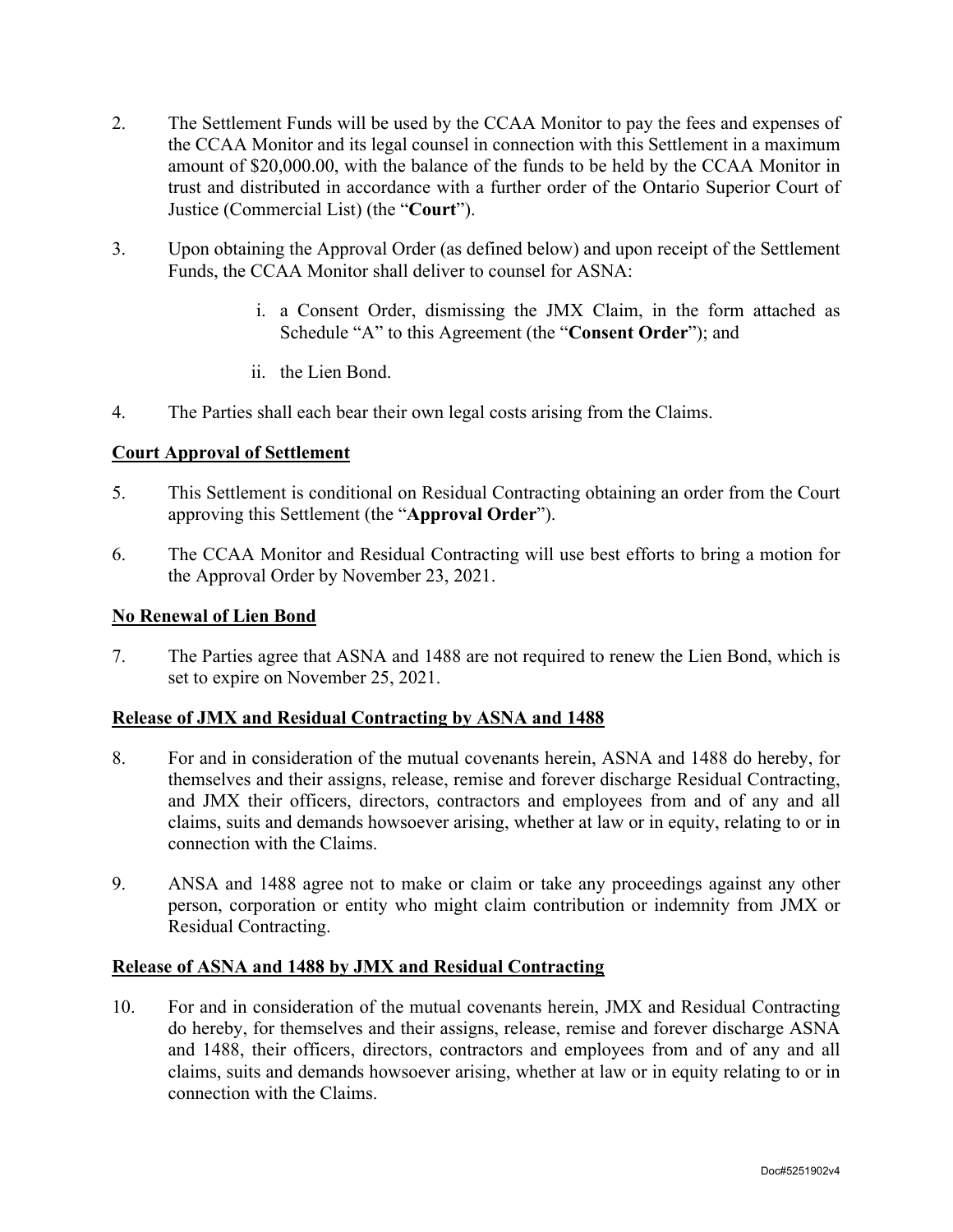- 2. The Settlement Funds will be used by the CCAA Monitor to pay the fees and expenses of the CCAA Monitor and its legal counsel in connection with this Settlement in a maximum amount of \$20,000.00, with the balance of the funds to be held by the CCAA Monitor in trust and distributed in accordance with a further order of the Ontario Superior Court of Justice (Commercial List) (the "**Court**").
- 3. Upon obtaining the Approval Order (as defined below) and upon receipt of the Settlement Funds, the CCAA Monitor shall deliver to counsel for ASNA:
	- i. a Consent Order, dismissing the JMX Claim, in the form attached as Schedule "A" to this Agreement (the "**Consent Order**"); and
	- ii. the Lien Bond.
- 4. The Parties shall each bear their own legal costs arising from the Claims.

## **Court Approval of Settlement**

- 5. This Settlement is conditional on Residual Contracting obtaining an order from the Court approving this Settlement (the "**Approval Order**").
- 6. The CCAA Monitor and Residual Contracting will use best efforts to bring a motion for the Approval Order by November 23, 2021.

#### **No Renewal of Lien Bond**

7. The Parties agree that ASNA and 1488 are not required to renew the Lien Bond, which is set to expire on November 25, 2021.

## **Release of JMX and Residual Contracting by ASNA and 1488**

- 8. For and in consideration of the mutual covenants herein, ASNA and 1488 do hereby, for themselves and their assigns, release, remise and forever discharge Residual Contracting, and JMX their officers, directors, contractors and employees from and of any and all claims, suits and demands howsoever arising, whether at law or in equity, relating to or in connection with the Claims.
- 9. ANSA and 1488 agree not to make or claim or take any proceedings against any other person, corporation or entity who might claim contribution or indemnity from JMX or Residual Contracting.

## **Release of ASNA and 1488 by JMX and Residual Contracting**

10. For and in consideration of the mutual covenants herein, JMX and Residual Contracting do hereby, for themselves and their assigns, release, remise and forever discharge ASNA and 1488, their officers, directors, contractors and employees from and of any and all claims, suits and demands howsoever arising, whether at law or in equity relating to or in connection with the Claims.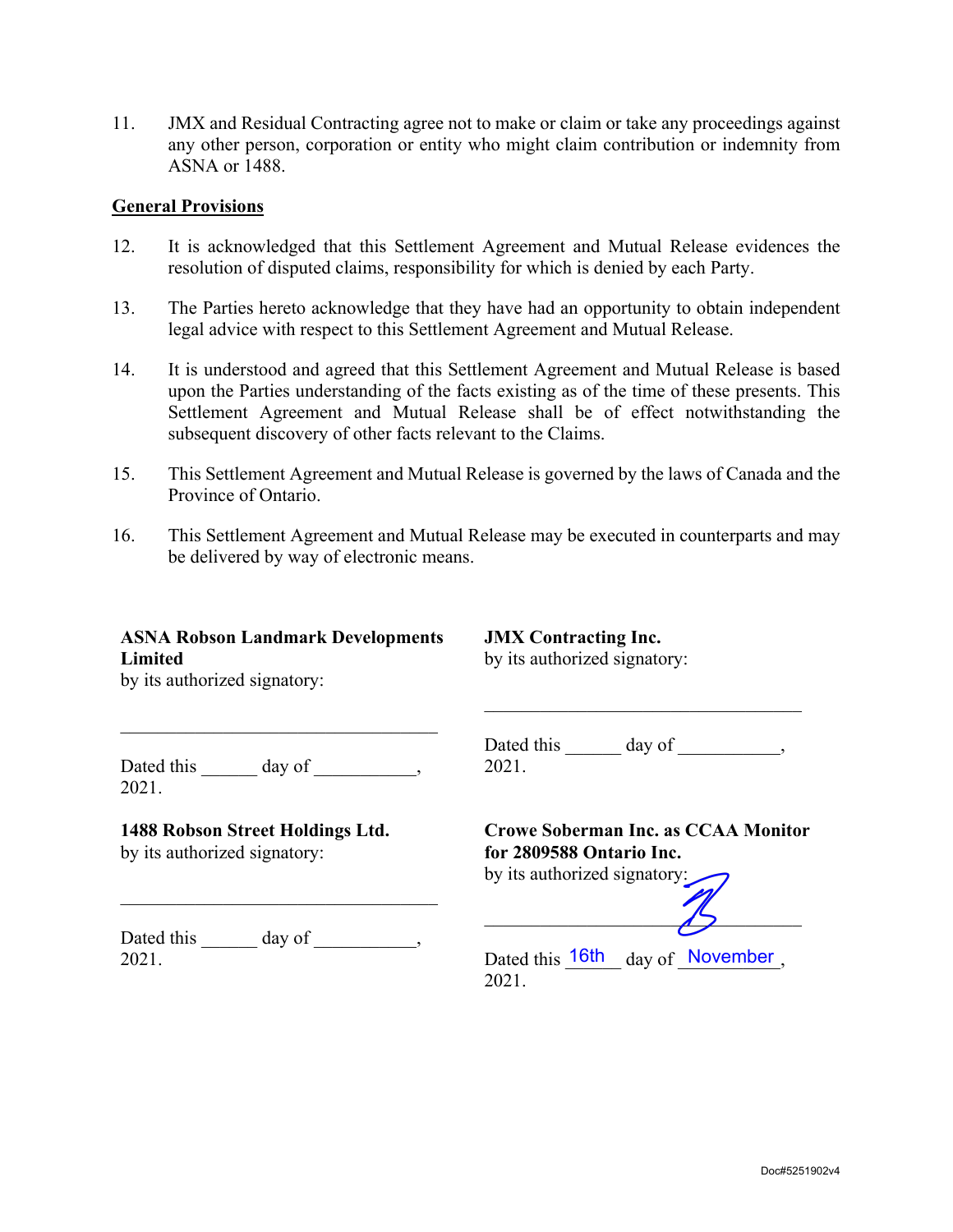11. JMX and Residual Contracting agree not to make or claim or take any proceedings against any other person, corporation or entity who might claim contribution or indemnity from ASNA or 1488.

#### **General Provisions**

- 12. It is acknowledged that this Settlement Agreement and Mutual Release evidences the resolution of disputed claims, responsibility for which is denied by each Party.
- 13. The Parties hereto acknowledge that they have had an opportunity to obtain independent legal advice with respect to this Settlement Agreement and Mutual Release.
- 14. It is understood and agreed that this Settlement Agreement and Mutual Release is based upon the Parties understanding of the facts existing as of the time of these presents. This Settlement Agreement and Mutual Release shall be of effect notwithstanding the subsequent discovery of other facts relevant to the Claims.
- 15. This Settlement Agreement and Mutual Release is governed by the laws of Canada and the Province of Ontario.
- 16. This Settlement Agreement and Mutual Release may be executed in counterparts and may be delivered by way of electronic means.

## **ASNA Robson Landmark Developments Limited**

**JMX Contracting Inc.**  by its authorized signatory:

by its authorized signatory:

Dated this \_\_\_\_\_\_\_ day of \_\_\_\_\_\_\_\_\_, Dated this \_\_\_\_\_\_\_ day of \_\_\_\_\_\_\_\_\_\_, 2021.

## **1488 Robson Street Holdings Ltd.**

by its authorized signatory:

2021.

by its authorized signatory:

**for 2809588 Ontario Inc.** 

Dated this \_\_\_\_\_\_ day of \_\_\_\_\_\_\_\_\_, 2021.

\_\_\_\_\_\_\_\_\_\_\_\_\_\_\_\_\_\_\_\_\_\_\_\_\_\_\_\_\_\_\_\_\_\_

Dated this 16th day of November, 2021.

 $\overline{15}$ 

**Crowe Soberman Inc. as CCAA Monitor**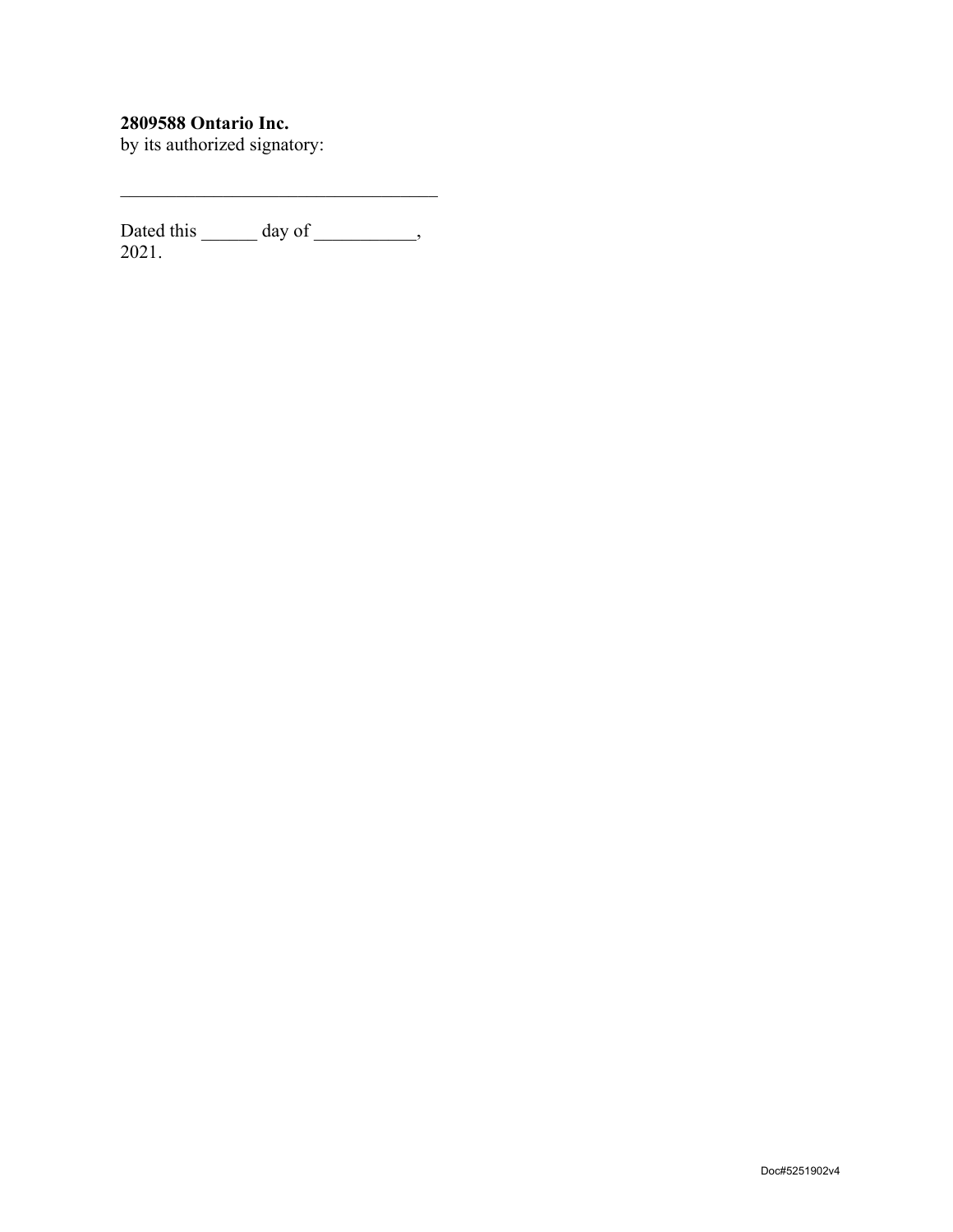## **2809588 Ontario Inc.**

by its authorized signatory:

Dated this day of the day of the set of the set of the set of the set of the set of the set of the set of the set of the set of the set of the set of the set of the set of the set of the set of the set of the set of the se 2021.